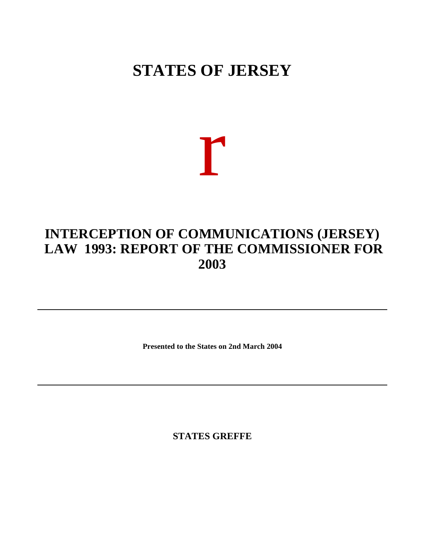## **STATES OF JERSEY**

# r

## **INTERCEPTION OF COMMUNICATIONS (JERSEY) LAW 1993: REPORT OF THE COMMISSIONER FOR 2003**

**Presented to the States on 2nd March 2004**

**STATES GREFFE**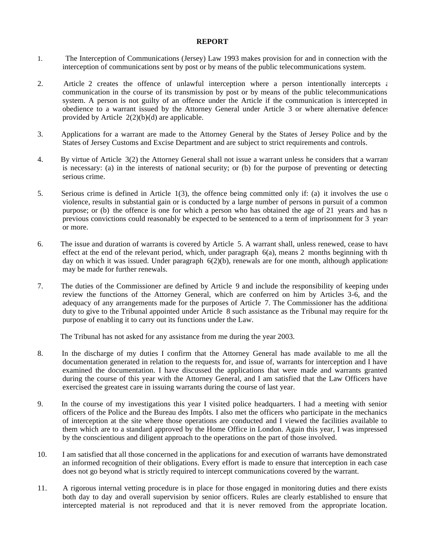#### **REPORT**

- 1. The Interception of Communications (Jersey) Law 1993 makes provision for and in connection with the interception of communications sent by post or by means of the public telecommunications system.
- 2. Article 2 creates the offence of unlawful interception where a person intentionally intercepts  $\epsilon$ communication in the course of its transmission by post or by means of the public telecommunications system. A person is not guilty of an offence under the Article if the communication is intercepted in obedience to a warrant issued by the Attorney General under Article 3 or where alternative defences provided by Article  $2(2)(b)(d)$  are applicable.
- 3. Applications for a warrant are made to the Attorney General by the States of Jersey Police and by the States of Jersey Customs and Excise Department and are subject to strict requirements and controls.
- 4. By virtue of Article 3(2) the Attorney General shall not issue a warrant unless he considers that a warrant is necessary: (a) in the interests of national security; or (b) for the purpose of preventing or detecting serious crime.
- 5. Serious crime is defined in Article 1(3), the offence being committed only if: (a) it involves the use of violence, results in substantial gain or is conducted by a large number of persons in pursuit of a common purpose; or (b) the offence is one for which a person who has obtained the age of 21 years and has no previous convictions could reasonably be expected to be sentenced to a term of imprisonment for 3 years or more.
- 6. The issue and duration of warrants is covered by Article 5. A warrant shall, unless renewed, cease to have effect at the end of the relevant period, which, under paragraph  $6(a)$ , means 2 months beginning with the day on which it was issued. Under paragraph  $6(2)(b)$ , renewals are for one month, although applications may be made for further renewals.
- 7. The duties of the Commissioner are defined by Article 9 and include the responsibility of keeping under review the functions of the Attorney General, which are conferred on him by Articles 3-6, and the adequacy of any arrangements made for the purposes of Article 7. The Commissioner has the additional duty to give to the Tribunal appointed under Article 8 such assistance as the Tribunal may require for the purpose of enabling it to carry out its functions under the Law.

The Tribunal has not asked for any assistance from me during the year 2003.

- 8. In the discharge of my duties I confirm that the Attorney General has made available to me all the documentation generated in relation to the requests for, and issue of, warrants for interception and I have examined the documentation. I have discussed the applications that were made and warrants granted during the course of this year with the Attorney General, and I am satisfied that the Law Officers have exercised the greatest care in issuing warrants during the course of last year.
- 9. In the course of my investigations this year I visited police headquarters. I had a meeting with senior officers of the Police and the Bureau des Impôts. I also met the officers who participate in the mechanics of interception at the site where those operations are conducted and I viewed the facilities available to them which are to a standard approved by the Home Office in London. Again this year, I was impressed by the conscientious and diligent approach to the operations on the part of those involved.
- 10. I am satisfied that all those concerned in the applications for and execution of warrants have demonstrated an informed recognition of their obligations. Every effort is made to ensure that interception in each case does not go beyond what is strictly required to intercept communications covered by the warrant.
- 11. A rigorous internal vetting procedure is in place for those engaged in monitoring duties and there exists both day to day and overall supervision by senior officers. Rules are clearly established to ensure that intercepted material is not reproduced and that it is never removed from the appropriate location.